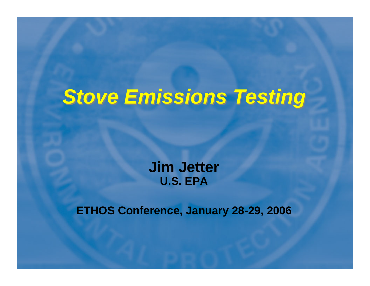#### *Stove Emissions Testing Stove Emissions Testing*

**Jim Jetter U.S. EPA**

**ETHOS Conference, January 28-29, 2006**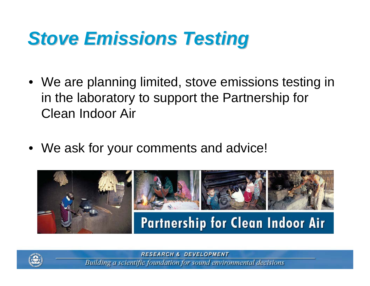## *Stove Emissions Testing Stove Emissions Testing*

- We are planning limited, stove emissions testing in in the laboratory to support the Partnership for Clean Indoor Air
- We ask for your comments and advice!





**RESEARCH & DEVELOPMENT**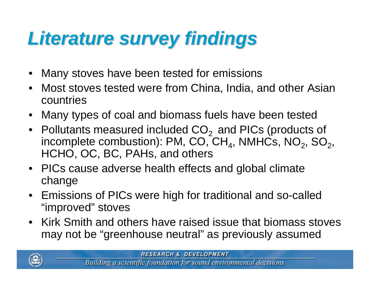# *Literature survey findings Literature survey findings*

- •Many stoves have been tested for emissions
- Most stoves tested were from China, India, and other Asian countries
- Many types of coal and biomass fuels have been tested
- Pollutants measured included CO<sub>2</sub> and PICs (products of incomplete combustion): PM, CO, CH $_4$ , NMHCs, NO $_2^{}$ , SO $_2^{}$ , HCHO, OC, BC, PAHs, and others
- PICs cause adverse health effects and global climate change
- Emissions of PICs were high for traditional and so-called "improved" stoves
- Kirk Smith and others have raised issue that biomass stoves may not be "greenhouse neutral" as previously assumed

**RESEARCH & DEVELOPMENT** 

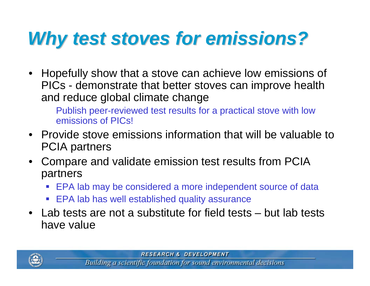## *Why test stoves for emissions? Why test stoves for emissions?*

• Hopefully show that a stove can achieve low emissions of PICs - demonstrate that better stoves can improve health and reduce global climate change

Publish peer-reviewed test results for a practical stove with low emissions of PICs!

- Provide stove emissions information that will be valuable to PCIA partners
- Compare and validate emission test results from PCIA partners
	- EPA lab may be considered a more independent source of data
	- EPA lab has well established quality assurance
- Lab tests are not a substitute for field tests but lab tests have value



**RESEARCH & DEVELOPMENT**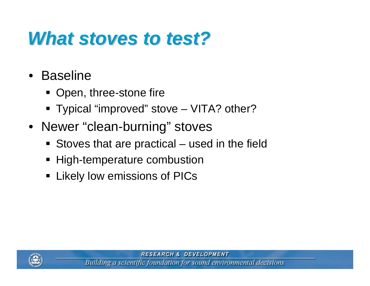#### *What stoves to test? What stoves to test?*

- • Baseline
	- Open, three-stone fire
	- Typical "improved" stove VITA? other?
- Newer "clean-burning" stoves
	- Stoves that are practical used in the field
	- High-temperature combustion
	- **Example 2 Likely low emissions of PICs**



**RESEARCH & DEVELOPMENT**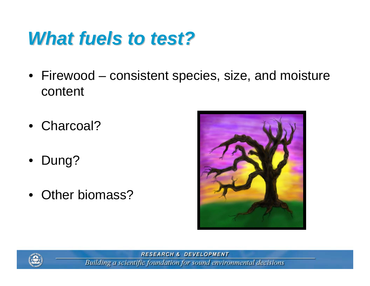#### *What fuels to test? What fuels to test?*

- Firewood consistent species, size, and moisture content
- Charcoal?
- $\bullet$ Dung?
- Other biomass?





**RESEARCH & DEVELOPMENT**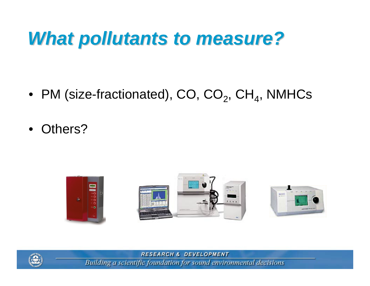#### *What pollutants to measure? What pollutants to measure?*

- $\bullet\,$  PM (size-fractionated), CO, CO $_2$ , CH $_4$ , NMHCs
- •Others?





**RESEARCH & DEVELOPMENT**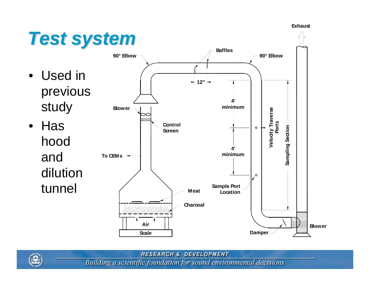**Exhaust**



**RESEARCH & DEVELOPMENT** 

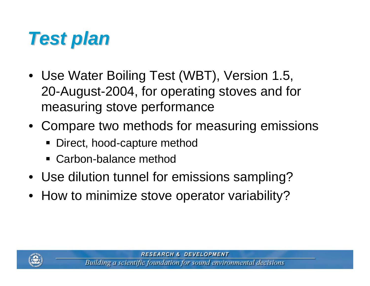

- Use Water Boiling Test (WBT), Version 1.5, 20-August-2004, for operating stoves and for measuring stove performance
- Compare two methods for measuring emissions
	- Direct, hood-capture method
	- Carbon-balance method
- Use dilution tunnel for emissions sampling?
- How to minimize stove operator variability?

**RESEARCH & DEVELOPMENT**